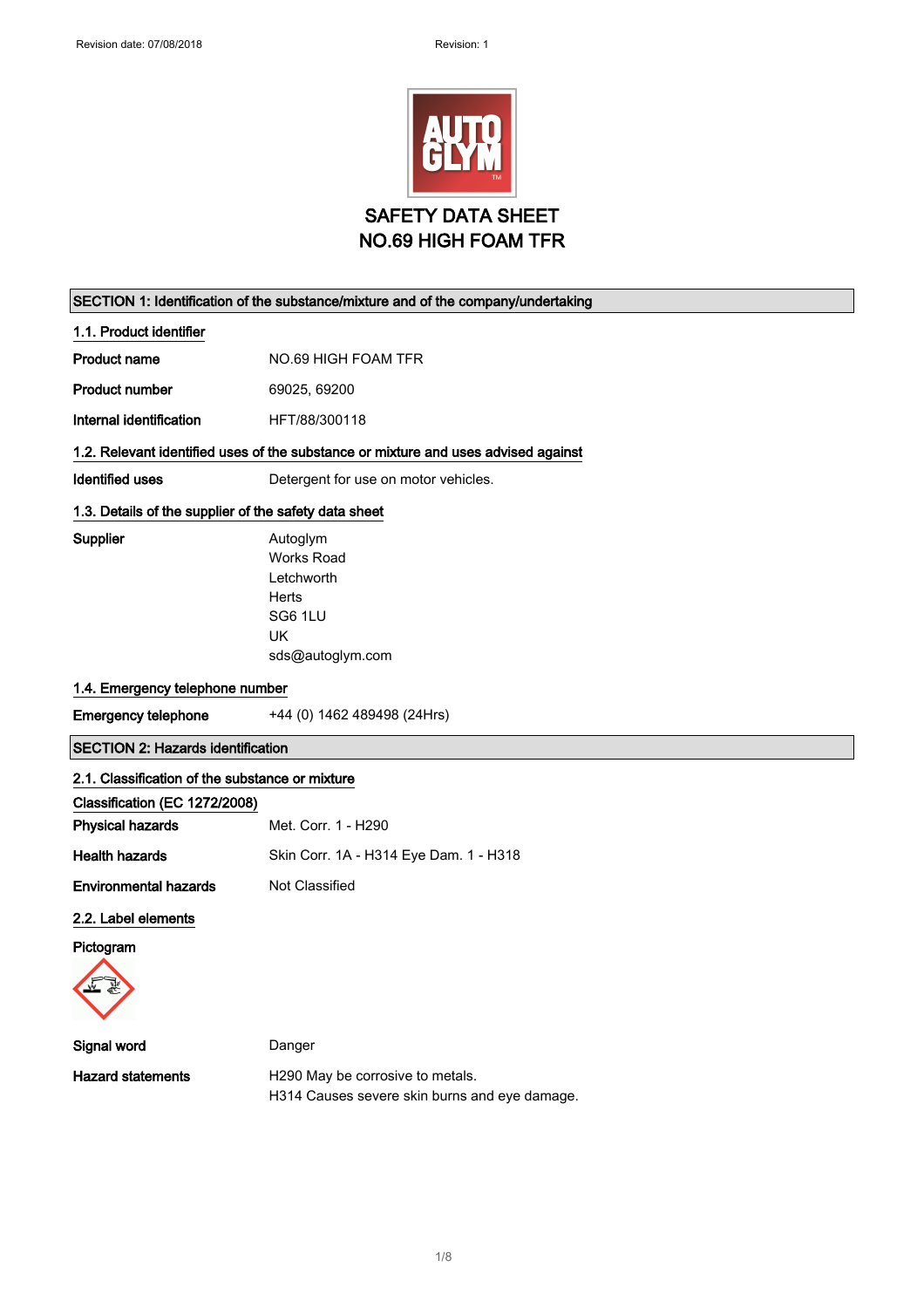

#### SECTION 1: Identification of the substance/mixture and of the company/undertaking

1.1. Product identifier

Product name NO.69 HIGH FOAM TFR

Product number 69025, 69200

Internal identification HFT/88/300118

## 1.2. Relevant identified uses of the substance or mixture and uses advised against

Works Road Letchworth

Identified uses **Detergent for use on motor vehicles**.

### 1.3. Details of the supplier of the safety data sheet

Supplier **Autoglym** 

Herts SG6 1LU UK

sds@autoglym.com

### 1.4. Emergency telephone number

Emergency telephone +44 (0) 1462 489498 (24Hrs)

SECTION 2: Hazards identification

### 2.1. Classification of the substance or mixture

| Classification (EC 1272/2008) |                                        |
|-------------------------------|----------------------------------------|
| <b>Physical hazards</b>       | Met. Corr. 1 - H290                    |
| <b>Health hazards</b>         | Skin Corr. 1A - H314 Eye Dam. 1 - H318 |
| <b>Environmental hazards</b>  | Not Classified                         |

#### 2.2. Label elements

Pictogram



| Signal word       | Danger                                        |
|-------------------|-----------------------------------------------|
| Hazard statements | H290 May be corrosive to metals.              |
|                   | H314 Causes severe skin burns and eye damage. |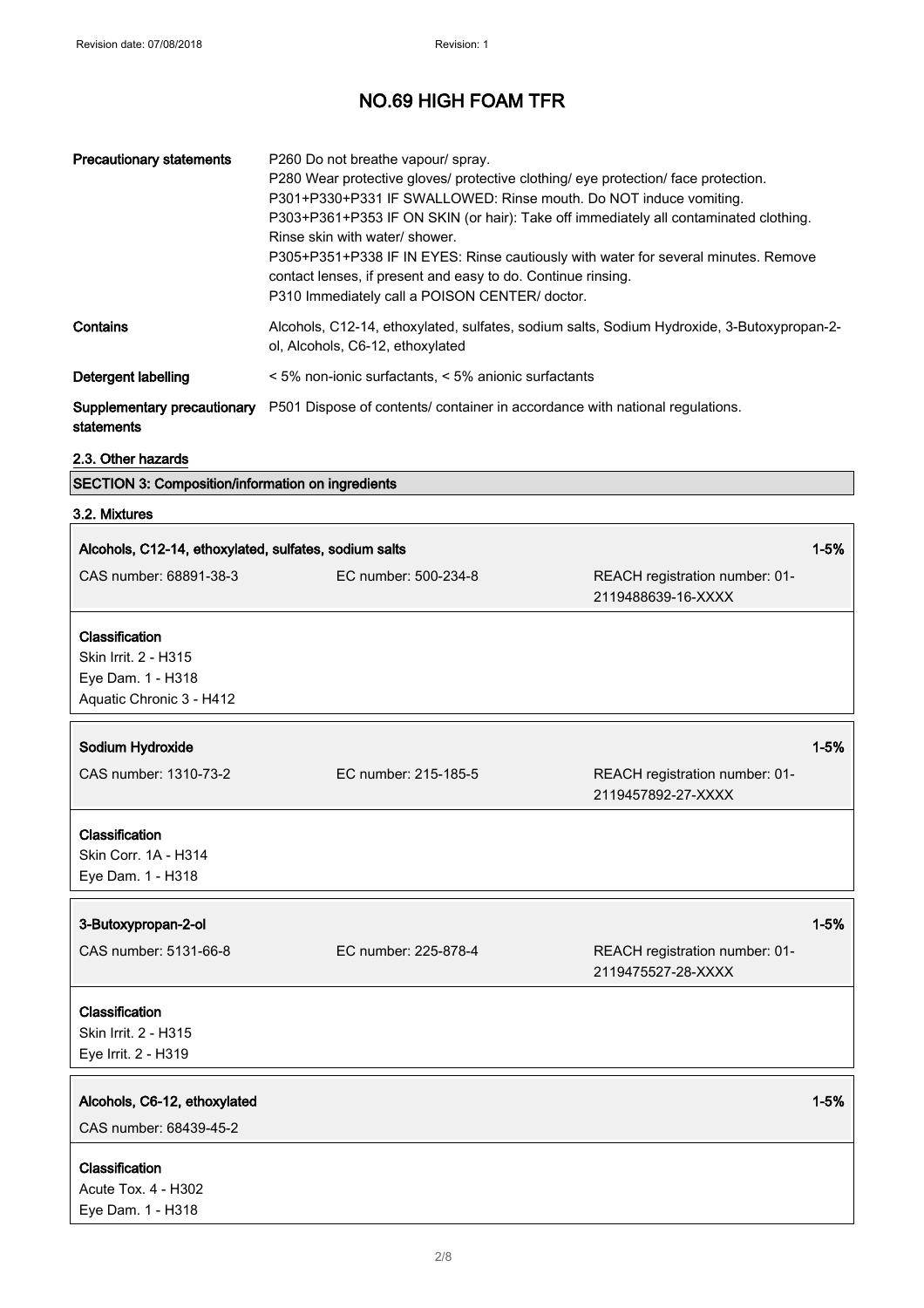| <b>Precautionary statements</b>           | P260 Do not breathe vapour/ spray.<br>P280 Wear protective gloves/ protective clothing/ eye protection/ face protection.<br>P301+P330+P331 IF SWALLOWED: Rinse mouth. Do NOT induce vomiting.<br>P303+P361+P353 IF ON SKIN (or hair): Take off immediately all contaminated clothing.<br>Rinse skin with water/ shower.<br>P305+P351+P338 IF IN EYES: Rinse cautiously with water for several minutes. Remove<br>contact lenses, if present and easy to do. Continue rinsing.<br>P310 Immediately call a POISON CENTER/ doctor. |
|-------------------------------------------|---------------------------------------------------------------------------------------------------------------------------------------------------------------------------------------------------------------------------------------------------------------------------------------------------------------------------------------------------------------------------------------------------------------------------------------------------------------------------------------------------------------------------------|
| Contains                                  | Alcohols, C12-14, ethoxylated, sulfates, sodium salts, Sodium Hydroxide, 3-Butoxypropan-2-<br>ol, Alcohols, C6-12, ethoxylated                                                                                                                                                                                                                                                                                                                                                                                                  |
| Detergent labelling                       | < 5% non-ionic surfactants, < 5% anionic surfactants                                                                                                                                                                                                                                                                                                                                                                                                                                                                            |
| Supplementary precautionary<br>statements | P501 Dispose of contents/ container in accordance with national regulations.                                                                                                                                                                                                                                                                                                                                                                                                                                                    |

## 2.3. Other hazards

| 3.2. Mixtures                                         |                      |                                                      |          |
|-------------------------------------------------------|----------------------|------------------------------------------------------|----------|
| Alcohols, C12-14, ethoxylated, sulfates, sodium salts |                      |                                                      | $1 - 5%$ |
| CAS number: 68891-38-3                                | EC number: 500-234-8 | REACH registration number: 01-<br>2119488639-16-XXXX |          |
| Classification                                        |                      |                                                      |          |
| Skin Irrit. 2 - H315<br>Eye Dam. 1 - H318             |                      |                                                      |          |
| Aquatic Chronic 3 - H412                              |                      |                                                      |          |
| Sodium Hydroxide                                      |                      |                                                      | $1 - 5%$ |
| CAS number: 1310-73-2                                 | EC number: 215-185-5 | REACH registration number: 01-<br>2119457892-27-XXXX |          |
| Classification                                        |                      |                                                      |          |
| Skin Corr. 1A - H314                                  |                      |                                                      |          |
| Eye Dam. 1 - H318                                     |                      |                                                      |          |
| 3-Butoxypropan-2-ol                                   |                      |                                                      | $1 - 5%$ |
| CAS number: 5131-66-8                                 | EC number: 225-878-4 | REACH registration number: 01-<br>2119475527-28-XXXX |          |
| Classification                                        |                      |                                                      |          |
| Skin Irrit. 2 - H315                                  |                      |                                                      |          |
| Eye Irrit. 2 - H319                                   |                      |                                                      |          |
| Alcohols, C6-12, ethoxylated                          |                      |                                                      | $1 - 5%$ |
| CAS number: 68439-45-2                                |                      |                                                      |          |
| Classification                                        |                      |                                                      |          |
| Acute Tox. 4 - H302                                   |                      |                                                      |          |
| Eye Dam. 1 - H318                                     |                      |                                                      |          |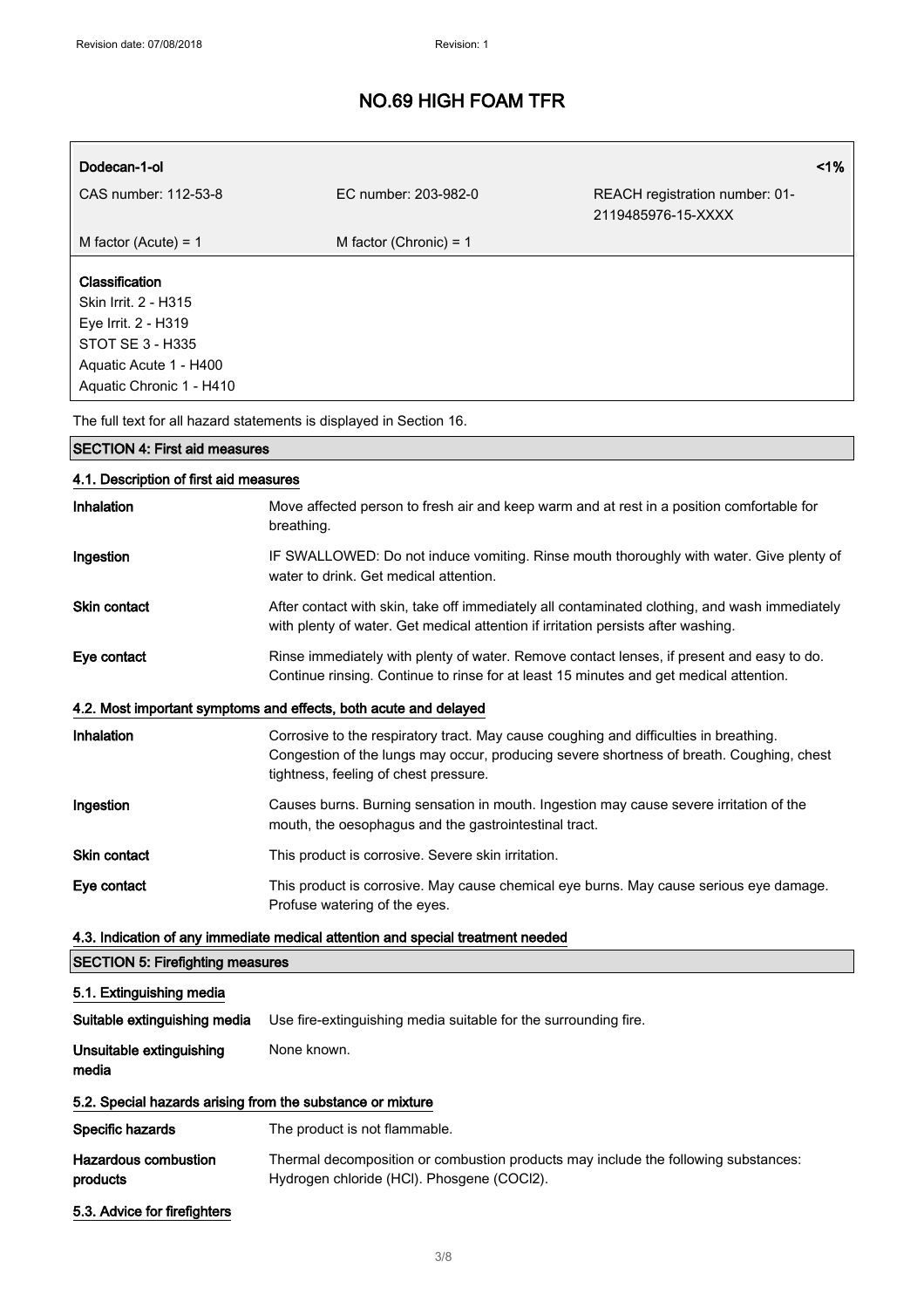| Dodecan-1-ol                                                                                                                                   |                          |                                                      | 1% |
|------------------------------------------------------------------------------------------------------------------------------------------------|--------------------------|------------------------------------------------------|----|
| CAS number: 112-53-8                                                                                                                           | EC number: 203-982-0     | REACH registration number: 01-<br>2119485976-15-XXXX |    |
| M factor (Acute) = $1$                                                                                                                         | M factor (Chronic) = $1$ |                                                      |    |
| <b>Classification</b><br>Skin Irrit. 2 - H315<br>Eye Irrit. 2 - H319<br>STOT SE 3 - H335<br>Aquatic Acute 1 - H400<br>Aquatic Chronic 1 - H410 |                          |                                                      |    |

The full text for all hazard statements is displayed in Section 16.

| <b>SECTION 4: First aid measures</b>                                            |                                                                                                                                                                                                                            |  |
|---------------------------------------------------------------------------------|----------------------------------------------------------------------------------------------------------------------------------------------------------------------------------------------------------------------------|--|
| 4.1. Description of first aid measures                                          |                                                                                                                                                                                                                            |  |
| <b>Inhalation</b>                                                               | Move affected person to fresh air and keep warm and at rest in a position comfortable for<br>breathing.                                                                                                                    |  |
| Ingestion                                                                       | IF SWALLOWED: Do not induce vomiting. Rinse mouth thoroughly with water. Give plenty of<br>water to drink. Get medical attention.                                                                                          |  |
| <b>Skin contact</b>                                                             | After contact with skin, take off immediately all contaminated clothing, and wash immediately<br>with plenty of water. Get medical attention if irritation persists after washing.                                         |  |
| Eye contact                                                                     | Rinse immediately with plenty of water. Remove contact lenses, if present and easy to do.<br>Continue rinsing. Continue to rinse for at least 15 minutes and get medical attention.                                        |  |
|                                                                                 | 4.2. Most important symptoms and effects, both acute and delayed                                                                                                                                                           |  |
| <b>Inhalation</b>                                                               | Corrosive to the respiratory tract. May cause coughing and difficulties in breathing.<br>Congestion of the lungs may occur, producing severe shortness of breath. Coughing, chest<br>tightness, feeling of chest pressure. |  |
| Ingestion                                                                       | Causes burns. Burning sensation in mouth. Ingestion may cause severe irritation of the<br>mouth, the oesophagus and the gastrointestinal tract.                                                                            |  |
| Skin contact                                                                    | This product is corrosive. Severe skin irritation.                                                                                                                                                                         |  |
| Eye contact                                                                     | This product is corrosive. May cause chemical eye burns. May cause serious eye damage.<br>Profuse watering of the eyes.                                                                                                    |  |
| 4.3. Indication of any immediate medical attention and special treatment needed |                                                                                                                                                                                                                            |  |
| <b>SECTION 5: Firefighting measures</b>                                         |                                                                                                                                                                                                                            |  |
| 5.1. Extinguishing media                                                        |                                                                                                                                                                                                                            |  |
| Suitable extinguishing media                                                    | Use fire-extinguishing media suitable for the surrounding fire.                                                                                                                                                            |  |
| Unsuitable extinguishing<br>media                                               | None known.                                                                                                                                                                                                                |  |
| 5.2. Special hazards arising from the substance or mixture                      |                                                                                                                                                                                                                            |  |
| Specific hazards                                                                | The product is not flammable.                                                                                                                                                                                              |  |

5.3. Advice for firefighters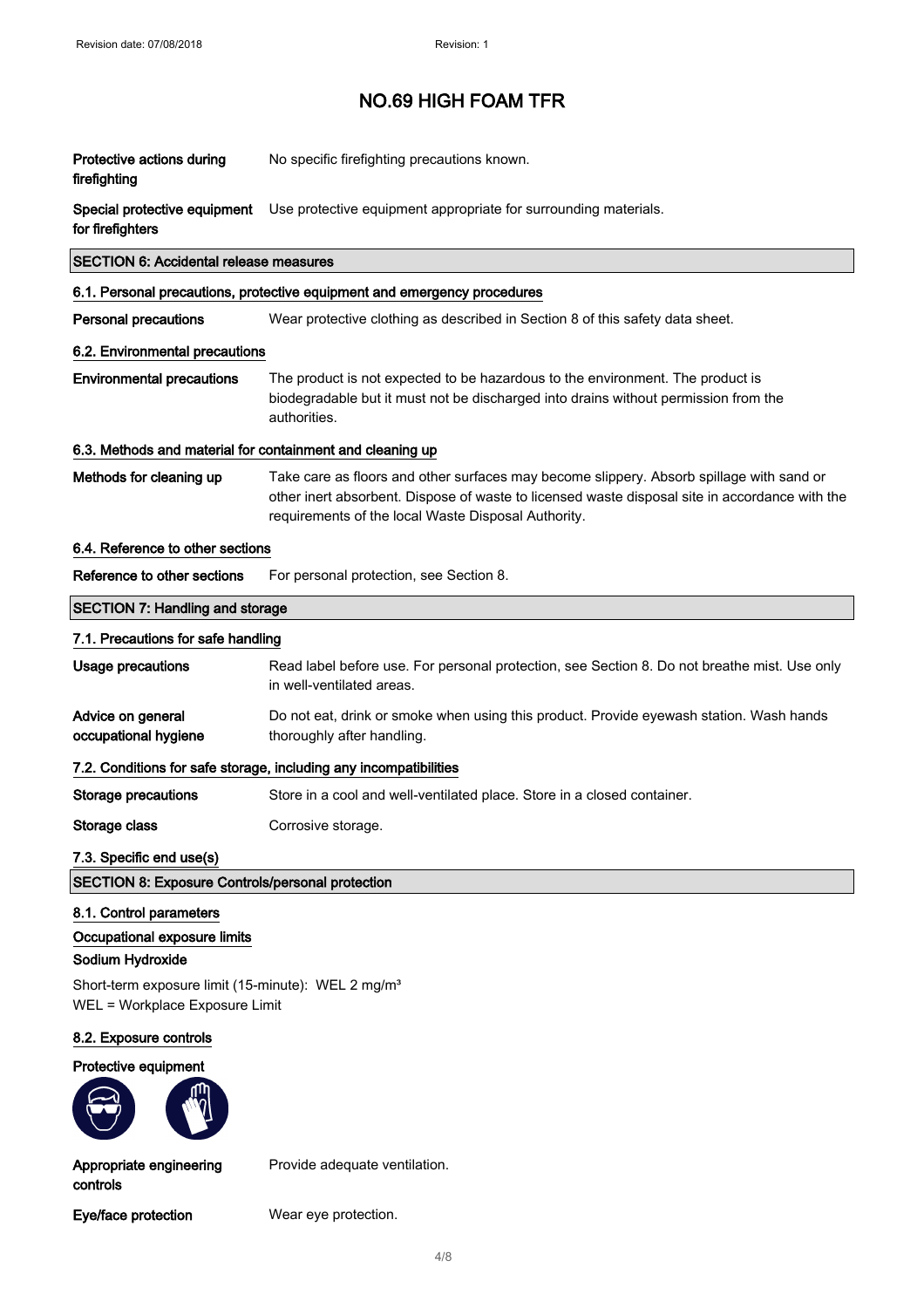| Protective actions during<br>firefighting                                                                                                                                       | No specific firefighting precautions known.                                                                                                                                                                                                       |  |
|---------------------------------------------------------------------------------------------------------------------------------------------------------------------------------|---------------------------------------------------------------------------------------------------------------------------------------------------------------------------------------------------------------------------------------------------|--|
| Special protective equipment<br>for firefighters                                                                                                                                | Use protective equipment appropriate for surrounding materials.                                                                                                                                                                                   |  |
| <b>SECTION 6: Accidental release measures</b>                                                                                                                                   |                                                                                                                                                                                                                                                   |  |
|                                                                                                                                                                                 | 6.1. Personal precautions, protective equipment and emergency procedures                                                                                                                                                                          |  |
| <b>Personal precautions</b>                                                                                                                                                     | Wear protective clothing as described in Section 8 of this safety data sheet.                                                                                                                                                                     |  |
| 6.2. Environmental precautions                                                                                                                                                  |                                                                                                                                                                                                                                                   |  |
| <b>Environmental precautions</b>                                                                                                                                                | The product is not expected to be hazardous to the environment. The product is<br>biodegradable but it must not be discharged into drains without permission from the<br>authorities.                                                             |  |
| 6.3. Methods and material for containment and cleaning up                                                                                                                       |                                                                                                                                                                                                                                                   |  |
| Methods for cleaning up                                                                                                                                                         | Take care as floors and other surfaces may become slippery. Absorb spillage with sand or<br>other inert absorbent. Dispose of waste to licensed waste disposal site in accordance with the<br>requirements of the local Waste Disposal Authority. |  |
| 6.4. Reference to other sections                                                                                                                                                |                                                                                                                                                                                                                                                   |  |
| Reference to other sections                                                                                                                                                     | For personal protection, see Section 8.                                                                                                                                                                                                           |  |
| <b>SECTION 7: Handling and storage</b>                                                                                                                                          |                                                                                                                                                                                                                                                   |  |
| 7.1. Precautions for safe handling                                                                                                                                              |                                                                                                                                                                                                                                                   |  |
| <b>Usage precautions</b>                                                                                                                                                        | Read label before use. For personal protection, see Section 8. Do not breathe mist. Use only<br>in well-ventilated areas.                                                                                                                         |  |
| Advice on general<br>occupational hygiene                                                                                                                                       | Do not eat, drink or smoke when using this product. Provide eyewash station. Wash hands<br>thoroughly after handling.                                                                                                                             |  |
|                                                                                                                                                                                 | 7.2. Conditions for safe storage, including any incompatibilities                                                                                                                                                                                 |  |
| <b>Storage precautions</b>                                                                                                                                                      | Store in a cool and well-ventilated place. Store in a closed container.                                                                                                                                                                           |  |
| Storage class                                                                                                                                                                   | Corrosive storage.                                                                                                                                                                                                                                |  |
| 7.3. Specific end use(s)                                                                                                                                                        |                                                                                                                                                                                                                                                   |  |
| <b>SECTION 8: Exposure Controls/personal protection</b>                                                                                                                         |                                                                                                                                                                                                                                                   |  |
| 8.1. Control parameters<br>Occupational exposure limits<br>Sodium Hydroxide<br>Short-term exposure limit (15-minute): WEL 2 mg/m <sup>3</sup><br>WEL = Workplace Exposure Limit |                                                                                                                                                                                                                                                   |  |
| 8.2. Exposure controls                                                                                                                                                          |                                                                                                                                                                                                                                                   |  |
| Protective equipment                                                                                                                                                            |                                                                                                                                                                                                                                                   |  |
| Appropriate engineering<br>controls                                                                                                                                             | Provide adequate ventilation.                                                                                                                                                                                                                     |  |

Eye/face protection Wear eye protection.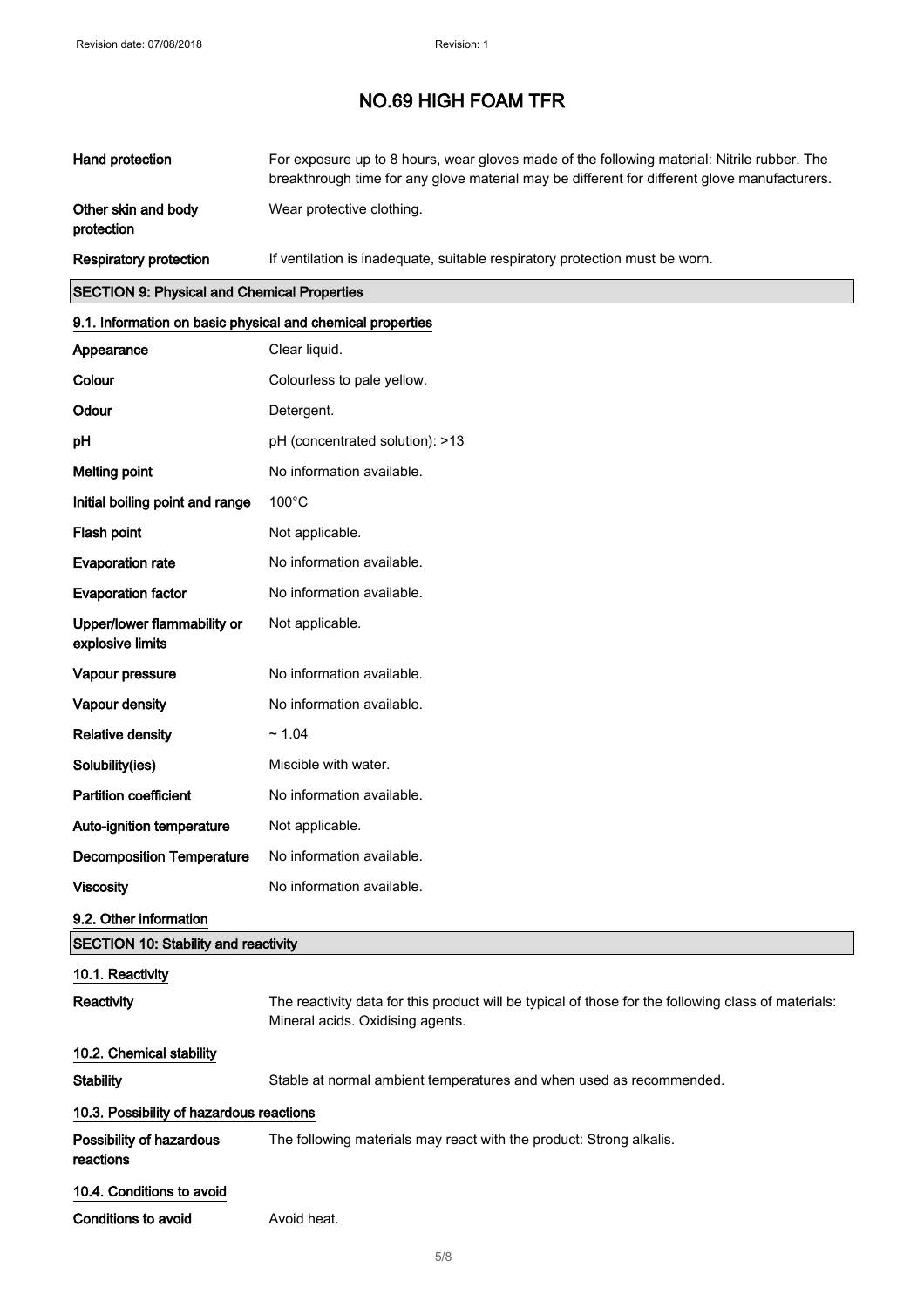| Hand protection                   | For exposure up to 8 hours, wear gloves made of the following material: Nitrile rubber. The<br>breakthrough time for any glove material may be different for different glove manufacturers. |
|-----------------------------------|---------------------------------------------------------------------------------------------------------------------------------------------------------------------------------------------|
| Other skin and body<br>protection | Wear protective clothing.                                                                                                                                                                   |
| Respiratory protection            | If ventilation is inadequate, suitable respiratory protection must be worn.                                                                                                                 |

## SECTION 9: Physical and Chemical Properties

| 9.1. Information on basic physical and chemical properties |                                                                                                                                         |  |
|------------------------------------------------------------|-----------------------------------------------------------------------------------------------------------------------------------------|--|
| Appearance                                                 | Clear liquid.                                                                                                                           |  |
| Colour                                                     | Colourless to pale yellow.                                                                                                              |  |
| Odour                                                      | Detergent.                                                                                                                              |  |
| pH                                                         | pH (concentrated solution): >13                                                                                                         |  |
| <b>Melting point</b>                                       | No information available.                                                                                                               |  |
| Initial boiling point and range                            | $100^{\circ}$ C                                                                                                                         |  |
| Flash point                                                | Not applicable.                                                                                                                         |  |
| <b>Evaporation rate</b>                                    | No information available.                                                                                                               |  |
| <b>Evaporation factor</b>                                  | No information available.                                                                                                               |  |
| Upper/lower flammability or<br>explosive limits            | Not applicable.                                                                                                                         |  |
| Vapour pressure                                            | No information available.                                                                                                               |  |
| Vapour density                                             | No information available.                                                                                                               |  |
| <b>Relative density</b>                                    | ~1.04                                                                                                                                   |  |
| Solubility(ies)                                            | Miscible with water.                                                                                                                    |  |
| <b>Partition coefficient</b>                               | No information available.                                                                                                               |  |
| Auto-ignition temperature                                  | Not applicable.                                                                                                                         |  |
| <b>Decomposition Temperature</b>                           | No information available.                                                                                                               |  |
| <b>Viscosity</b>                                           | No information available.                                                                                                               |  |
| 9.2. Other information                                     |                                                                                                                                         |  |
| <b>SECTION 10: Stability and reactivity</b>                |                                                                                                                                         |  |
| 10.1. Reactivity                                           |                                                                                                                                         |  |
| Reactivity                                                 | The reactivity data for this product will be typical of those for the following class of materials:<br>Mineral acids. Oxidising agents. |  |
| 10.2. Chemical stability                                   |                                                                                                                                         |  |
| <b>Stability</b>                                           | Stable at normal ambient temperatures and when used as recommended.                                                                     |  |
| 10.3. Possibility of hazardous reactions                   |                                                                                                                                         |  |
| Possibility of hazardous<br>reactions                      | The following materials may react with the product: Strong alkalis.                                                                     |  |
| 10.4. Conditions to avoid                                  |                                                                                                                                         |  |

Conditions to avoid **Avoid heat.**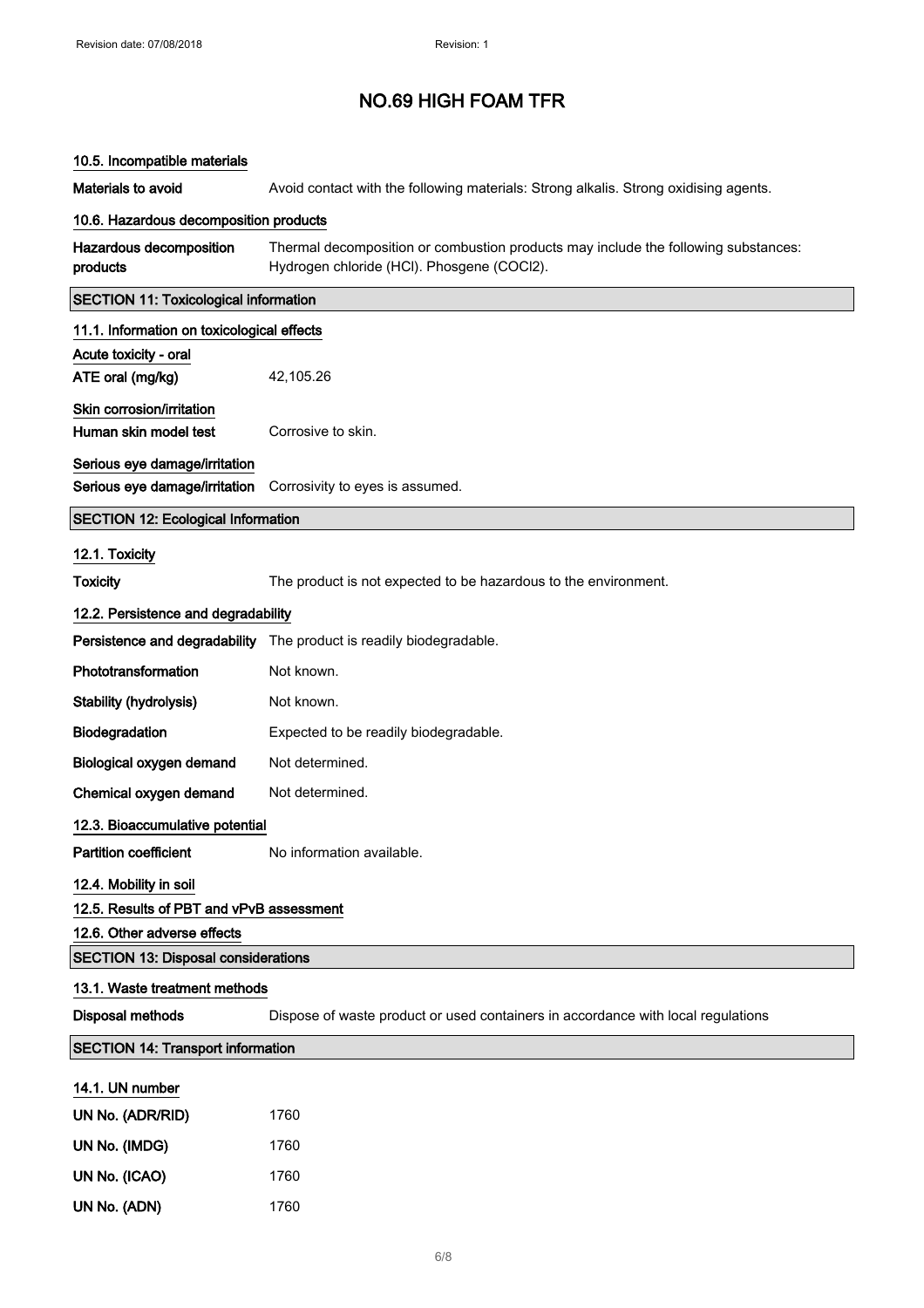| 10.5. Incompatible materials                 |                                                                                                                                  |  |
|----------------------------------------------|----------------------------------------------------------------------------------------------------------------------------------|--|
| Materials to avoid                           | Avoid contact with the following materials: Strong alkalis. Strong oxidising agents.                                             |  |
| 10.6. Hazardous decomposition products       |                                                                                                                                  |  |
| Hazardous decomposition<br>products          | Thermal decomposition or combustion products may include the following substances:<br>Hydrogen chloride (HCI). Phosgene (COCI2). |  |
| <b>SECTION 11: Toxicological information</b> |                                                                                                                                  |  |
| 11.1. Information on toxicological effects   |                                                                                                                                  |  |
| Acute toxicity - oral                        |                                                                                                                                  |  |
| ATE oral (mg/kg)                             | 42,105.26                                                                                                                        |  |
| Skin corrosion/irritation                    |                                                                                                                                  |  |
| Human skin model test                        | Corrosive to skin.                                                                                                               |  |
| Serious eye damage/irritation                |                                                                                                                                  |  |
| Serious eye damage/irritation                | Corrosivity to eyes is assumed.                                                                                                  |  |
| <b>SECTION 12: Ecological Information</b>    |                                                                                                                                  |  |
| 12.1. Toxicity                               |                                                                                                                                  |  |
| <b>Toxicity</b>                              | The product is not expected to be hazardous to the environment.                                                                  |  |
| 12.2. Persistence and degradability          |                                                                                                                                  |  |
| Persistence and degradability                | The product is readily biodegradable.                                                                                            |  |
| Phototransformation                          | Not known.                                                                                                                       |  |
| Stability (hydrolysis)                       | Not known.                                                                                                                       |  |
| Biodegradation                               | Expected to be readily biodegradable.                                                                                            |  |
| Biological oxygen demand                     | Not determined.                                                                                                                  |  |
| Chemical oxygen demand                       | Not determined.                                                                                                                  |  |
| 12.3. Bioaccumulative potential              |                                                                                                                                  |  |
| <b>Partition coefficient</b>                 | No information available.                                                                                                        |  |
| 12.4. Mobility in soil                       |                                                                                                                                  |  |
| 12.5. Results of PBT and vPvB assessment     |                                                                                                                                  |  |
| 12.6. Other adverse effects                  |                                                                                                                                  |  |
| <b>SECTION 13: Disposal considerations</b>   |                                                                                                                                  |  |
| 13.1. Waste treatment methods                |                                                                                                                                  |  |
| <b>Disposal methods</b>                      | Dispose of waste product or used containers in accordance with local regulations                                                 |  |
| <b>SECTION 14: Transport information</b>     |                                                                                                                                  |  |
| 14.1. UN number                              |                                                                                                                                  |  |
| UN No. (ADR/RID)                             | 1760                                                                                                                             |  |
| UN No. (IMDG)                                | 1760                                                                                                                             |  |
| UN No. (ICAO)                                | 1760                                                                                                                             |  |
| UN No. (ADN)                                 | 1760                                                                                                                             |  |
|                                              |                                                                                                                                  |  |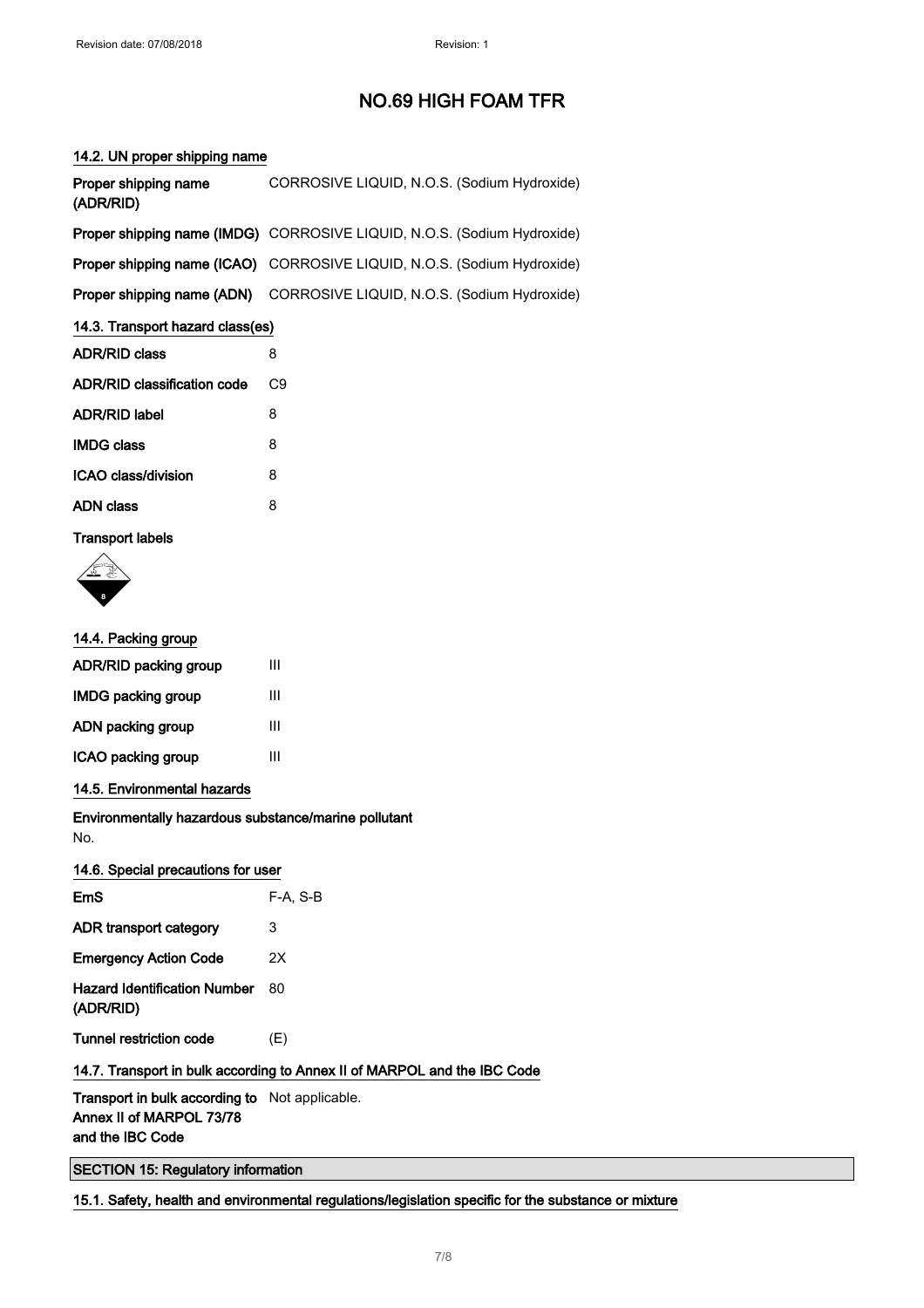## 14.2. UN proper shipping name

| Proper shipping name<br>(ADR/RID) | CORROSIVE LIQUID, N.O.S. (Sodium Hydroxide)                             |  |
|-----------------------------------|-------------------------------------------------------------------------|--|
|                                   | Proper shipping name (IMDG) CORROSIVE LIQUID, N.O.S. (Sodium Hydroxide) |  |
|                                   | Proper shipping name (ICAO) CORROSIVE LIQUID, N.O.S. (Sodium Hydroxide) |  |
|                                   | Proper shipping name (ADN) CORROSIVE LIQUID, N.O.S. (Sodium Hydroxide)  |  |
| 14.3. Transport hazard class(es)  |                                                                         |  |

| <b>ADR/RID class</b>        | ႙  |
|-----------------------------|----|
| ADR/RID classification code | C9 |
| <b>ADR/RID label</b>        | 8  |
| <b>IMDG class</b>           | 8  |
| ICAO class/division         | 8  |
| ADN class                   | 8  |

## Transport labels



| 14.4. Packing group       |   |
|---------------------------|---|
| ADR/RID packing group     | Ш |
| <b>IMDG packing group</b> | Ш |
| ADN packing group         | Ш |
| ICAO packing group        | Ш |
|                           |   |

14.5. Environmental hazards

Environmentally hazardous substance/marine pollutant No.

## 14.6. Special precautions for user

| EmS                                       | $F-A. S-B$ |
|-------------------------------------------|------------|
| ADR transport category                    | 3          |
| <b>Emergency Action Code</b>              | 2Χ         |
| Hazard Identification Number<br>(ADR/RID) | 80         |
| Tunnel restriction code                   | (E)        |
|                                           |            |

## 14.7. Transport in bulk according to Annex II of MARPOL and the IBC Code

Transport in bulk according to Not applicable. Annex II of MARPOL 73/78 and the IBC Code

SECTION 15: Regulatory information

15.1. Safety, health and environmental regulations/legislation specific for the substance or mixture